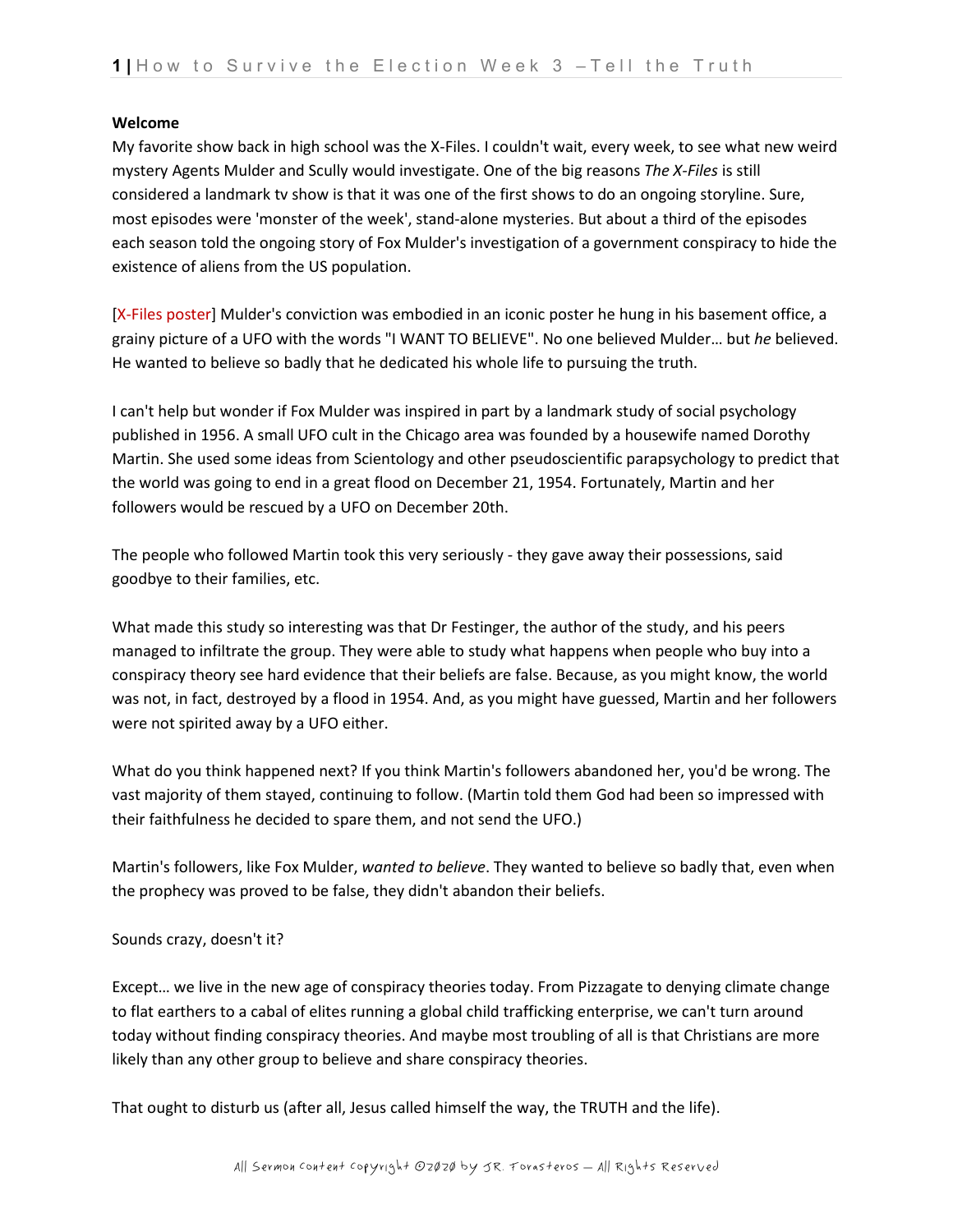### **Welcome**

My favorite show back in high school was the X-Files. I couldn't wait, every week, to see what new weird mystery Agents Mulder and Scully would investigate. One of the big reasons *The X-Files* is still considered a landmark tv show is that it was one of the first shows to do an ongoing storyline. Sure, most episodes were 'monster of the week', stand-alone mysteries. But about a third of the episodes each season told the ongoing story of Fox Mulder's investigation of a government conspiracy to hide the existence of aliens from the US population.

[X-Files poster] Mulder's conviction was embodied in an iconic poster he hung in his basement office, a grainy picture of a UFO with the words "I WANT TO BELIEVE". No one believed Mulder… but *he* believed. He wanted to believe so badly that he dedicated his whole life to pursuing the truth.

I can't help but wonder if Fox Mulder was inspired in part by a landmark study of social psychology published in 1956. A small UFO cult in the Chicago area was founded by a housewife named Dorothy Martin. She used some ideas from Scientology and other pseudoscientific parapsychology to predict that the world was going to end in a great flood on December 21, 1954. Fortunately, Martin and her followers would be rescued by a UFO on December 20th.

The people who followed Martin took this very seriously - they gave away their possessions, said goodbye to their families, etc.

What made this study so interesting was that Dr Festinger, the author of the study, and his peers managed to infiltrate the group. They were able to study what happens when people who buy into a conspiracy theory see hard evidence that their beliefs are false. Because, as you might know, the world was not, in fact, destroyed by a flood in 1954. And, as you might have guessed, Martin and her followers were not spirited away by a UFO either.

What do you think happened next? If you think Martin's followers abandoned her, you'd be wrong. The vast majority of them stayed, continuing to follow. (Martin told them God had been so impressed with their faithfulness he decided to spare them, and not send the UFO.)

Martin's followers, like Fox Mulder, *wanted to believe*. They wanted to believe so badly that, even when the prophecy was proved to be false, they didn't abandon their beliefs.

### Sounds crazy, doesn't it?

Except… we live in the new age of conspiracy theories today. From Pizzagate to denying climate change to flat earthers to a cabal of elites running a global child trafficking enterprise, we can't turn around today without finding conspiracy theories. And maybe most troubling of all is that Christians are more likely than any other group to believe and share conspiracy theories.

That ought to disturb us (after all, Jesus called himself the way, the TRUTH and the life).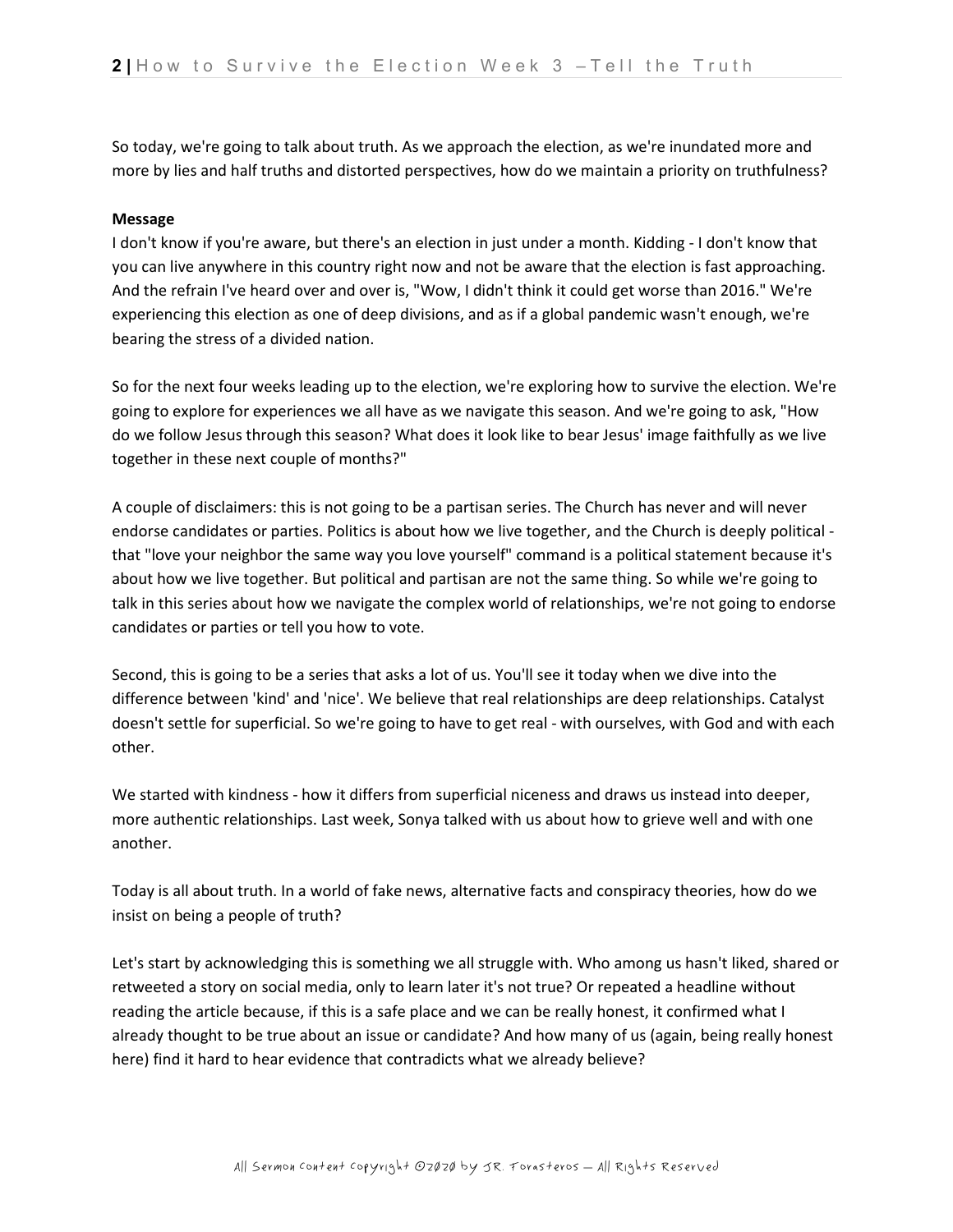So today, we're going to talk about truth. As we approach the election, as we're inundated more and more by lies and half truths and distorted perspectives, how do we maintain a priority on truthfulness?

### **Message**

I don't know if you're aware, but there's an election in just under a month. Kidding - I don't know that you can live anywhere in this country right now and not be aware that the election is fast approaching. And the refrain I've heard over and over is, "Wow, I didn't think it could get worse than 2016." We're experiencing this election as one of deep divisions, and as if a global pandemic wasn't enough, we're bearing the stress of a divided nation.

So for the next four weeks leading up to the election, we're exploring how to survive the election. We're going to explore for experiences we all have as we navigate this season. And we're going to ask, "How do we follow Jesus through this season? What does it look like to bear Jesus' image faithfully as we live together in these next couple of months?"

A couple of disclaimers: this is not going to be a partisan series. The Church has never and will never endorse candidates or parties. Politics is about how we live together, and the Church is deeply political that "love your neighbor the same way you love yourself" command is a political statement because it's about how we live together. But political and partisan are not the same thing. So while we're going to talk in this series about how we navigate the complex world of relationships, we're not going to endorse candidates or parties or tell you how to vote.

Second, this is going to be a series that asks a lot of us. You'll see it today when we dive into the difference between 'kind' and 'nice'. We believe that real relationships are deep relationships. Catalyst doesn't settle for superficial. So we're going to have to get real - with ourselves, with God and with each other.

We started with kindness - how it differs from superficial niceness and draws us instead into deeper, more authentic relationships. Last week, Sonya talked with us about how to grieve well and with one another.

Today is all about truth. In a world of fake news, alternative facts and conspiracy theories, how do we insist on being a people of truth?

Let's start by acknowledging this is something we all struggle with. Who among us hasn't liked, shared or retweeted a story on social media, only to learn later it's not true? Or repeated a headline without reading the article because, if this is a safe place and we can be really honest, it confirmed what I already thought to be true about an issue or candidate? And how many of us (again, being really honest here) find it hard to hear evidence that contradicts what we already believe?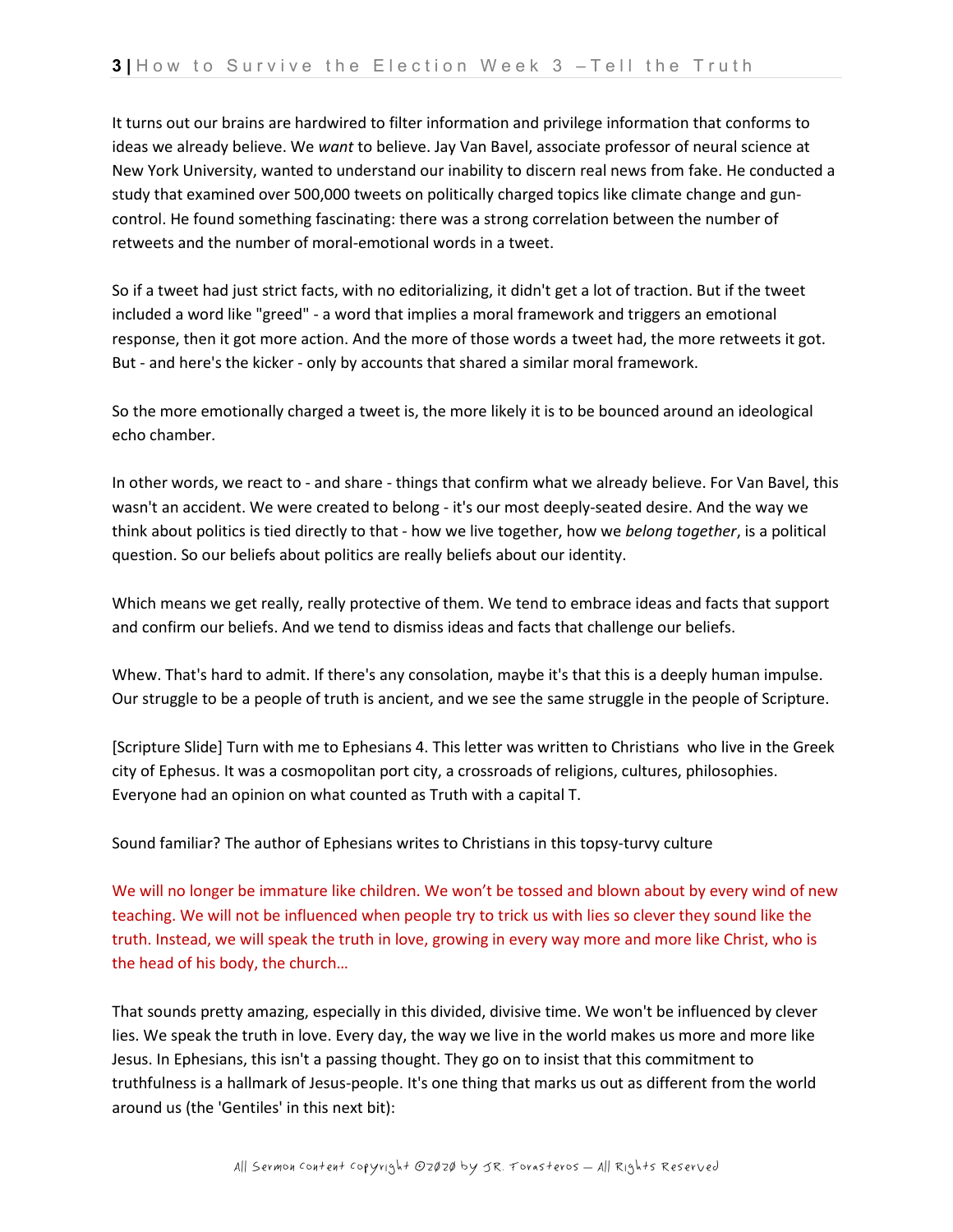It turns out our brains are hardwired to filter information and privilege information that conforms to ideas we already believe. We *want* to believe. Jay Van Bavel, associate professor of neural science at New York University, wanted to understand our inability to discern real news from fake. He conducted a study that examined over 500,000 tweets on politically charged topics like climate change and guncontrol. He found something fascinating: there was a strong correlation between the number of retweets and the number of moral-emotional words in a tweet.

So if a tweet had just strict facts, with no editorializing, it didn't get a lot of traction. But if the tweet included a word like "greed" - a word that implies a moral framework and triggers an emotional response, then it got more action. And the more of those words a tweet had, the more retweets it got. But - and here's the kicker - only by accounts that shared a similar moral framework.

So the more emotionally charged a tweet is, the more likely it is to be bounced around an ideological echo chamber.

In other words, we react to - and share - things that confirm what we already believe. For Van Bavel, this wasn't an accident. We were created to belong - it's our most deeply-seated desire. And the way we think about politics is tied directly to that - how we live together, how we *belong together*, is a political question. So our beliefs about politics are really beliefs about our identity.

Which means we get really, really protective of them. We tend to embrace ideas and facts that support and confirm our beliefs. And we tend to dismiss ideas and facts that challenge our beliefs.

Whew. That's hard to admit. If there's any consolation, maybe it's that this is a deeply human impulse. Our struggle to be a people of truth is ancient, and we see the same struggle in the people of Scripture.

[Scripture Slide] Turn with me to Ephesians 4. This letter was written to Christians who live in the Greek city of Ephesus. It was a cosmopolitan port city, a crossroads of religions, cultures, philosophies. Everyone had an opinion on what counted as Truth with a capital T.

Sound familiar? The author of Ephesians writes to Christians in this topsy-turvy culture

We will no longer be immature like children. We won't be tossed and blown about by every wind of new teaching. We will not be influenced when people try to trick us with lies so clever they sound like the truth. Instead, we will speak the truth in love, growing in every way more and more like Christ, who is the head of his body, the church…

That sounds pretty amazing, especially in this divided, divisive time. We won't be influenced by clever lies. We speak the truth in love. Every day, the way we live in the world makes us more and more like Jesus. In Ephesians, this isn't a passing thought. They go on to insist that this commitment to truthfulness is a hallmark of Jesus-people. It's one thing that marks us out as different from the world around us (the 'Gentiles' in this next bit):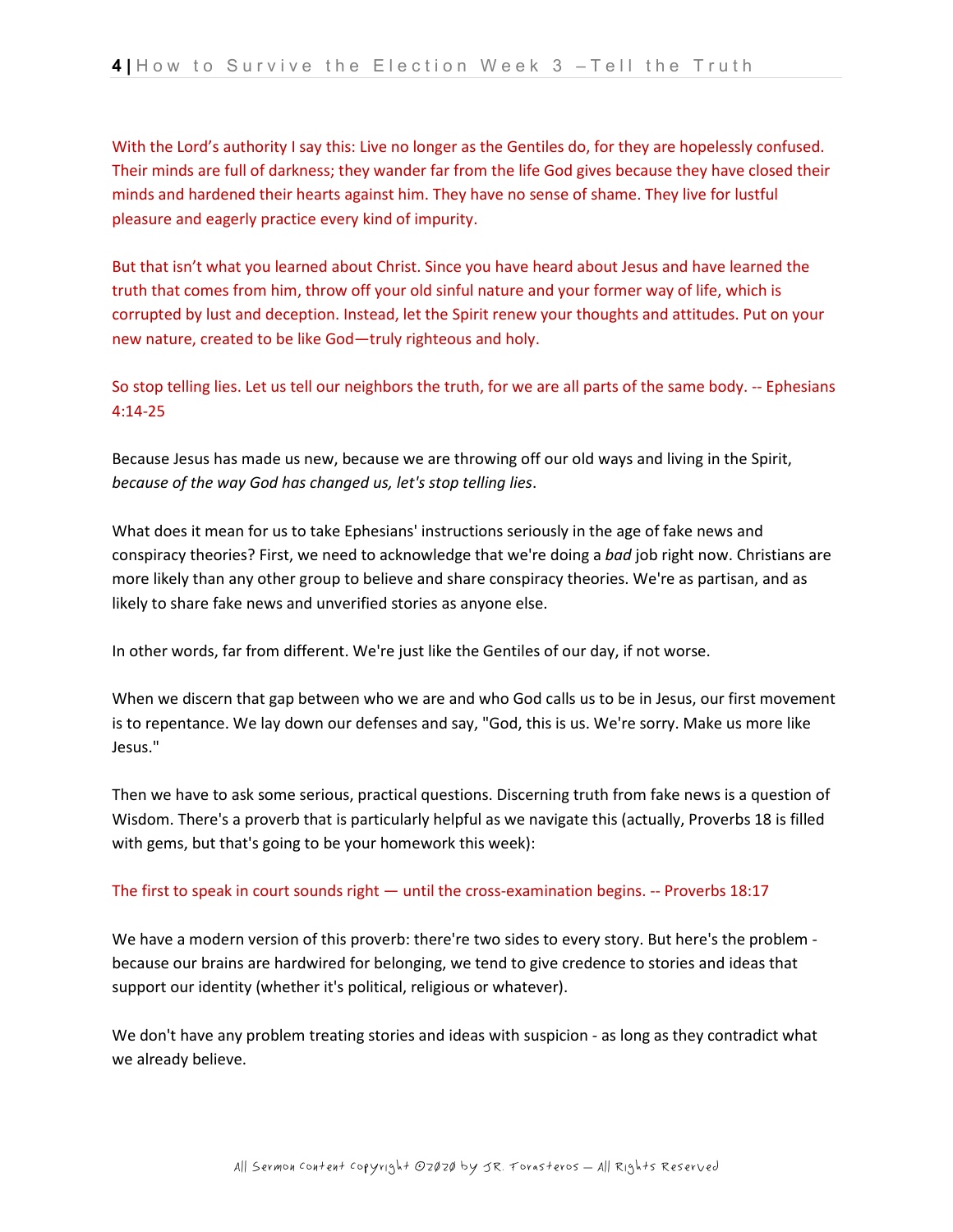With the Lord's authority I say this: Live no longer as the Gentiles do, for they are hopelessly confused. Their minds are full of darkness; they wander far from the life God gives because they have closed their minds and hardened their hearts against him. They have no sense of shame. They live for lustful pleasure and eagerly practice every kind of impurity.

But that isn't what you learned about Christ. Since you have heard about Jesus and have learned the truth that comes from him, throw off your old sinful nature and your former way of life, which is corrupted by lust and deception. Instead, let the Spirit renew your thoughts and attitudes. Put on your new nature, created to be like God—truly righteous and holy.

So stop telling lies. Let us tell our neighbors the truth, for we are all parts of the same body. -- Ephesians 4:14-25

Because Jesus has made us new, because we are throwing off our old ways and living in the Spirit, *because of the way God has changed us, let's stop telling lies*.

What does it mean for us to take Ephesians' instructions seriously in the age of fake news and conspiracy theories? First, we need to acknowledge that we're doing a *bad* job right now. Christians are more likely than any other group to believe and share conspiracy theories. We're as partisan, and as likely to share fake news and unverified stories as anyone else.

In other words, far from different. We're just like the Gentiles of our day, if not worse.

When we discern that gap between who we are and who God calls us to be in Jesus, our first movement is to repentance. We lay down our defenses and say, "God, this is us. We're sorry. Make us more like Jesus."

Then we have to ask some serious, practical questions. Discerning truth from fake news is a question of Wisdom. There's a proverb that is particularly helpful as we navigate this (actually, Proverbs 18 is filled with gems, but that's going to be your homework this week):

### The first to speak in court sounds right — until the cross-examination begins. -- Proverbs 18:17

We have a modern version of this proverb: there're two sides to every story. But here's the problem because our brains are hardwired for belonging, we tend to give credence to stories and ideas that support our identity (whether it's political, religious or whatever).

We don't have any problem treating stories and ideas with suspicion - as long as they contradict what we already believe.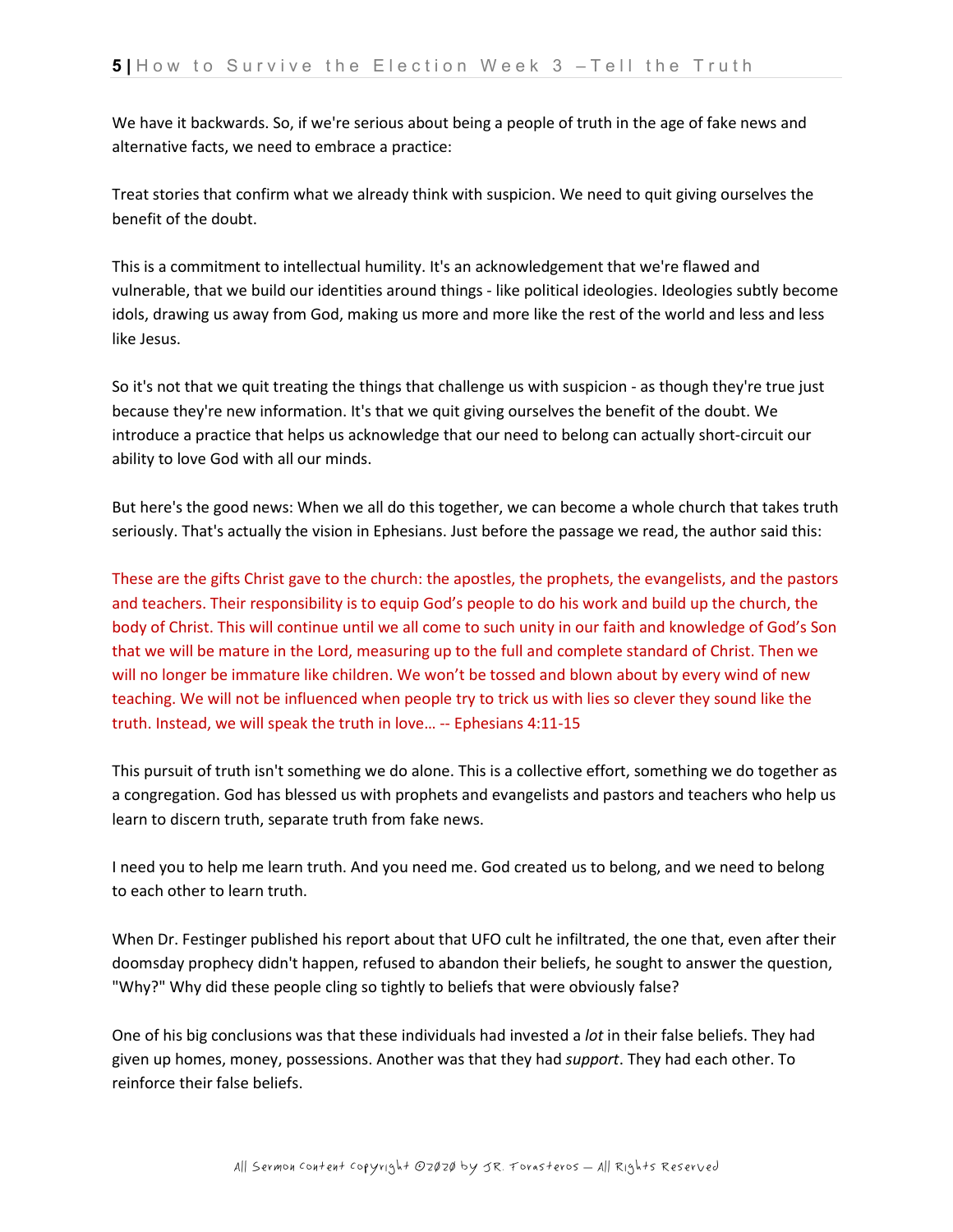We have it backwards. So, if we're serious about being a people of truth in the age of fake news and alternative facts, we need to embrace a practice:

Treat stories that confirm what we already think with suspicion. We need to quit giving ourselves the benefit of the doubt.

This is a commitment to intellectual humility. It's an acknowledgement that we're flawed and vulnerable, that we build our identities around things - like political ideologies. Ideologies subtly become idols, drawing us away from God, making us more and more like the rest of the world and less and less like Jesus.

So it's not that we quit treating the things that challenge us with suspicion - as though they're true just because they're new information. It's that we quit giving ourselves the benefit of the doubt. We introduce a practice that helps us acknowledge that our need to belong can actually short-circuit our ability to love God with all our minds.

But here's the good news: When we all do this together, we can become a whole church that takes truth seriously. That's actually the vision in Ephesians. Just before the passage we read, the author said this:

These are the gifts Christ gave to the church: the apostles, the prophets, the evangelists, and the pastors and teachers. Their responsibility is to equip God's people to do his work and build up the church, the body of Christ. This will continue until we all come to such unity in our faith and knowledge of God's Son that we will be mature in the Lord, measuring up to the full and complete standard of Christ. Then we will no longer be immature like children. We won't be tossed and blown about by every wind of new teaching. We will not be influenced when people try to trick us with lies so clever they sound like the truth. Instead, we will speak the truth in love… -- Ephesians 4:11-15

This pursuit of truth isn't something we do alone. This is a collective effort, something we do together as a congregation. God has blessed us with prophets and evangelists and pastors and teachers who help us learn to discern truth, separate truth from fake news.

I need you to help me learn truth. And you need me. God created us to belong, and we need to belong to each other to learn truth.

When Dr. Festinger published his report about that UFO cult he infiltrated, the one that, even after their doomsday prophecy didn't happen, refused to abandon their beliefs, he sought to answer the question, "Why?" Why did these people cling so tightly to beliefs that were obviously false?

One of his big conclusions was that these individuals had invested a *lot* in their false beliefs. They had given up homes, money, possessions. Another was that they had *support*. They had each other. To reinforce their false beliefs.